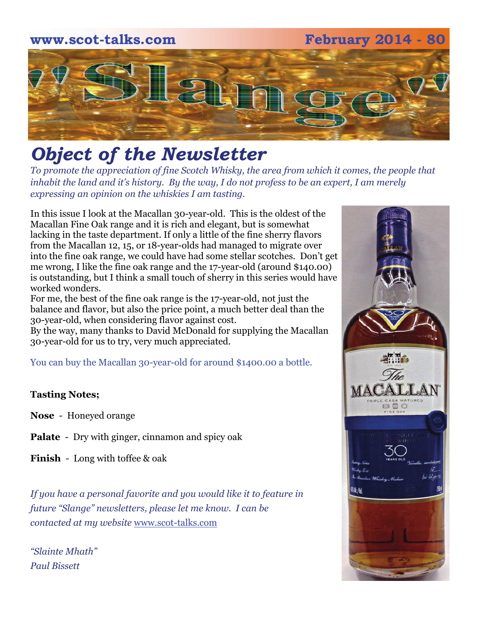## **www.scot-talks.com February 2014 - 80** lan

### *Object of the Newsletter*

*To promote the appreciation of fine Scotch Whisky, the area from which it comes, the people that inhabit the land and it's history. By the way, I do not profess to be an expert, I am merely expressing an opinion on the whiskies I am tasting.* 

In this issue I look at the Macallan 30-year-old. This is the oldest of the Macallan Fine Oak range and it is rich and elegant, but is somewhat lacking in the taste department. If only a little of the fine sherry flavors from the Macallan 12, 15, or 18-year-olds had managed to migrate over into the fine oak range, we could have had some stellar scotches. Don't get me wrong, I like the fine oak range and the 17-year-old (around \$140.00) is outstanding, but I think a small touch of sherry in this series would have worked wonders.

For me, the best of the fine oak range is the 17-year-old, not just the balance and flavor, but also the price point, a much better deal than the 30-year-old, when considering flavor against cost.

By the way, many thanks to David McDonald for supplying the Macallan 30-year-old for us to try, very much appreciated.

You can buy the Macallan 30-year-old for around \$1400.00 a bottle.

### **Tasting Notes;**

- **Nose**  Honeyed orange
- **Palate**  Dry with ginger, cinnamon and spicy oak
- **Finish**  Long with toffee & oak

*If you have a personal favorite and you would like it to feature in future "Slange" newsletters, please let me know. I can be contacted at my website* [www.scot-talks.com](http://www.scot-talks.com/default.html)

*"Slainte Mhath" Paul Bissett*

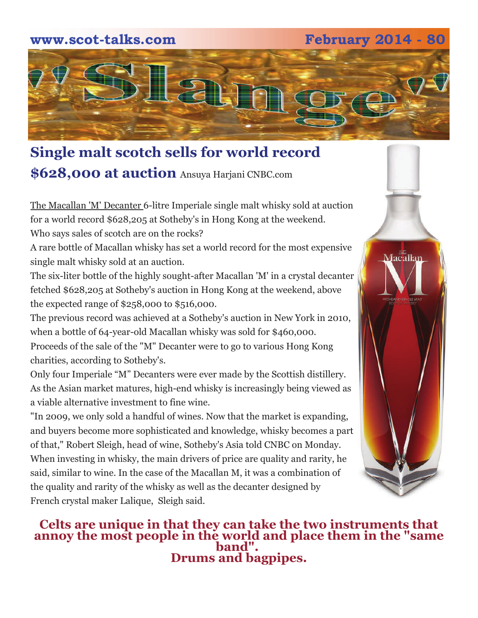### **www.scot-talks.com February 2014 - 80**



### **Single malt scotch sells for world record \$628,000 at auction** Ansuya Harjani CNBC.com

The Macallan 'M' Decanter 6-litre Imperiale single malt whisky sold at auction for a world record \$628,205 at Sotheby's in Hong Kong at the weekend. Who says sales of scotch are on the rocks?

A rare bottle of Macallan whisky has set a world record for the most expensive single malt whisky sold at an auction.

The six-liter bottle of the highly sought-after Macallan 'M' in a crystal decanter fetched \$628,205 at Sotheby's auction in Hong Kong at the weekend, above the expected range of \$258,000 to \$516,000.

The previous record was achieved at a Sotheby's auction in New York in 2010, when a bottle of 64-year-old Macallan whisky was sold for \$460,000. Proceeds of the sale of the "M" Decanter were to go to various Hong Kong charities, according to Sotheby's.

Only four Imperiale "M" Decanters were ever made by the Scottish distillery. As the Asian market matures, high-end whisky is increasingly being viewed as a viable alternative investment to fine wine.

"In 2009, we only sold a handful of wines. Now that the market is expanding, and buyers become more sophisticated and knowledge, whisky becomes a part of that," Robert Sleigh, head of wine, Sotheby's Asia told CNBC on Monday. When investing in whisky, the main drivers of price are quality and rarity, he said, similar to wine. In the case of the Macallan M, it was a combination of the quality and rarity of the whisky as well as the decanter designed by French crystal maker Lalique, Sleigh said.

# Macalla<u>n</u>

**Celts are unique in that they can take the two instruments that annoy the most people in the world and place them in the "same band". Drums and bagpipes.**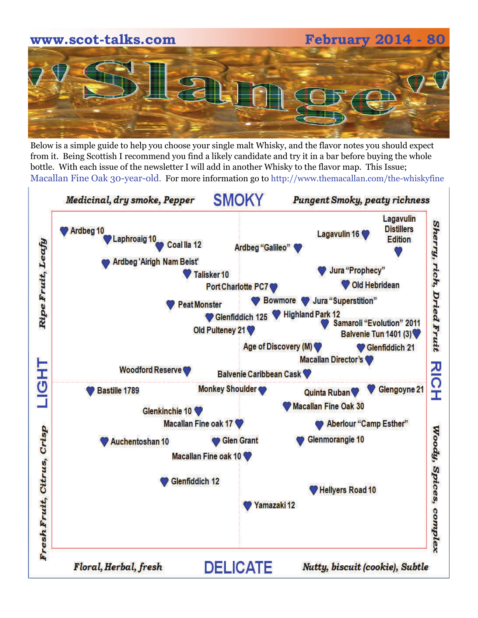# **www.scot-talks.com February 2014 - 80**

Below is a simple guide to help you choose your single malt Whisky, and the flavor notes you should expect from it. Being Scottish I recommend you find a likely candidate and try it in a bar before buying the whole bottle. With each issue of the newsletter I will add in another Whisky to the flavor map. This Issue; Macallan Fine Oak 30-year-old. For more information go to http://www.themacallan.com/the-whiskyfine

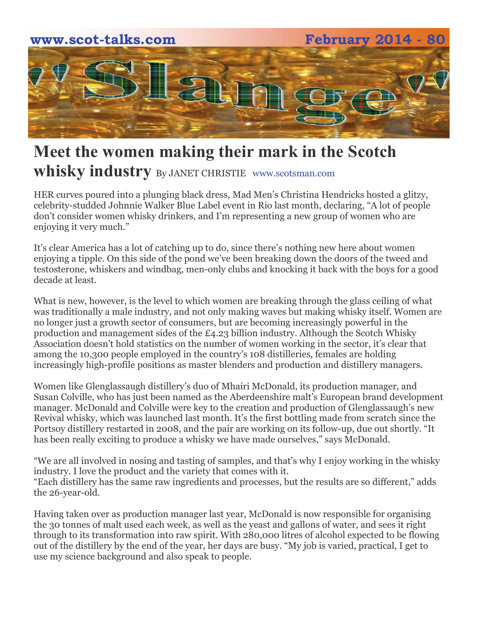

### **Meet the women making their mark in the Scotch whisky industry** By JANET CHRISTIE www.scotsman.com

HER curves poured into a plunging black dress, Mad Men's Christina Hendricks hosted a glitzy, celebrity-studded Johnnie Walker Blue Label event in Rio last month, declaring, "A lot of people don't consider women whisky drinkers, and I'm representing a new group of women who are enjoying it very much."

It's clear America has a lot of catching up to do, since there's nothing new here about women enjoying a tipple. On this side of the pond we've been breaking down the doors of the tweed and testosterone, whiskers and windbag, men-only clubs and knocking it back with the boys for a good decade at least.

What is new, however, is the level to which women are breaking through the glass ceiling of what was traditionally a male industry, and not only making waves but making whisky itself. Women are no longer just a growth sector of consumers, but are becoming increasingly powerful in the production and management sides of the £4.23 billion industry. Although the Scotch Whisky Association doesn't hold statistics on the number of women working in the sector, it's clear that among the 10,300 people employed in the country's 108 distilleries, females are holding increasingly high-profile positions as master blenders and production and distillery managers.

Women like Glenglassaugh distillery's duo of Mhairi McDonald, its production manager, and Susan Colville, who has just been named as the Aberdeenshire malt's European brand development manager. McDonald and Colville were key to the creation and production of Glenglassaugh's new Revival whisky, which was launched last month. It's the first bottling made from scratch since the Portsoy distillery restarted in 2008, and the pair are working on its follow-up, due out shortly. "It has been really exciting to produce a whisky we have made ourselves," says McDonald.

"We are all involved in nosing and tasting of samples, and that's why I enjoy working in the whisky industry. I love the product and the variety that comes with it. "Each distillery has the same raw ingredients and processes, but the results are so different," adds the 26-year-old.

Having taken over as production manager last year, McDonald is now responsible for organising the 30 tonnes of malt used each week, as well as the yeast and gallons of water, and sees it right through to its transformation into raw spirit. With 280,000 litres of alcohol expected to be flowing out of the distillery by the end of the year, her days are busy. "My job is varied, practical, I get to use my science background and also speak to people.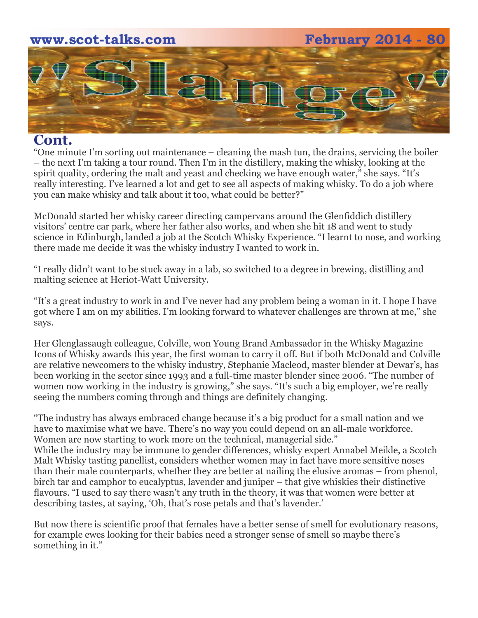### **www.scot-talks.com February 2014 - 80**  an

### **Cont.**

"One minute I'm sorting out maintenance – cleaning the mash tun, the drains, servicing the boiler – the next I'm taking a tour round. Then I'm in the distillery, making the whisky, looking at the spirit quality, ordering the malt and yeast and checking we have enough water," she says. "It's really interesting. I've learned a lot and get to see all aspects of making whisky. To do a job where you can make whisky and talk about it too, what could be better?"

McDonald started her whisky career directing campervans around the Glenfiddich distillery visitors' centre car park, where her father also works, and when she hit 18 and went to study science in Edinburgh, landed a job at the Scotch Whisky Experience. "I learnt to nose, and working there made me decide it was the whisky industry I wanted to work in.

"I really didn't want to be stuck away in a lab, so switched to a degree in brewing, distilling and malting science at Heriot-Watt University.

"It's a great industry to work in and I've never had any problem being a woman in it. I hope I have got where I am on my abilities. I'm looking forward to whatever challenges are thrown at me," she says.

Her Glenglassaugh colleague, Colville, won Young Brand Ambassador in the Whisky Magazine Icons of Whisky awards this year, the first woman to carry it off. But if both McDonald and Colville are relative newcomers to the whisky industry, Stephanie Macleod, master blender at Dewar's, has been working in the sector since 1993 and a full-time master blender since 2006. "The number of women now working in the industry is growing," she says. "It's such a big employer, we're really seeing the numbers coming through and things are definitely changing.

"The industry has always embraced change because it's a big product for a small nation and we have to maximise what we have. There's no way you could depend on an all-male workforce. Women are now starting to work more on the technical, managerial side." While the industry may be immune to gender differences, whisky expert Annabel Meikle, a Scotch Malt Whisky tasting panellist, considers whether women may in fact have more sensitive noses than their male counterparts, whether they are better at nailing the elusive aromas – from phenol, birch tar and camphor to eucalyptus, lavender and juniper – that give whiskies their distinctive flavours. "I used to say there wasn't any truth in the theory, it was that women were better at describing tastes, at saying, 'Oh, that's rose petals and that's lavender.'

But now there is scientific proof that females have a better sense of smell for evolutionary reasons, for example ewes looking for their babies need a stronger sense of smell so maybe there's something in it."